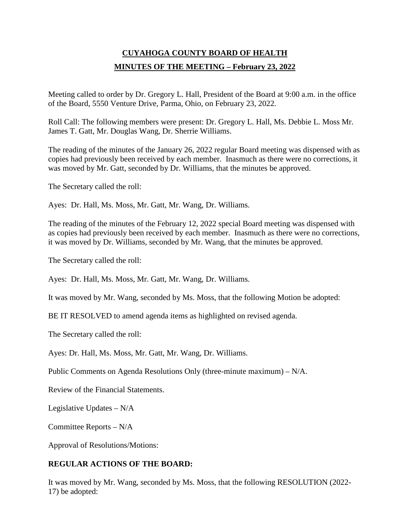# **CUYAHOGA COUNTY BOARD OF HEALTH MINUTES OF THE MEETING – February 23, 2022**

Meeting called to order by Dr. Gregory L. Hall, President of the Board at 9:00 a.m. in the office of the Board, 5550 Venture Drive, Parma, Ohio, on February 23, 2022.

Roll Call: The following members were present: Dr. Gregory L. Hall, Ms. Debbie L. Moss Mr. James T. Gatt, Mr. Douglas Wang, Dr. Sherrie Williams.

The reading of the minutes of the January 26, 2022 regular Board meeting was dispensed with as copies had previously been received by each member. Inasmuch as there were no corrections, it was moved by Mr. Gatt, seconded by Dr. Williams, that the minutes be approved.

The Secretary called the roll:

Ayes: Dr. Hall, Ms. Moss, Mr. Gatt, Mr. Wang, Dr. Williams.

The reading of the minutes of the February 12, 2022 special Board meeting was dispensed with as copies had previously been received by each member. Inasmuch as there were no corrections, it was moved by Dr. Williams, seconded by Mr. Wang, that the minutes be approved.

The Secretary called the roll:

Ayes: Dr. Hall, Ms. Moss, Mr. Gatt, Mr. Wang, Dr. Williams.

It was moved by Mr. Wang, seconded by Ms. Moss, that the following Motion be adopted:

BE IT RESOLVED to amend agenda items as highlighted on revised agenda.

The Secretary called the roll:

Ayes: Dr. Hall, Ms. Moss, Mr. Gatt, Mr. Wang, Dr. Williams.

Public Comments on Agenda Resolutions Only (three-minute maximum) – N/A.

Review of the Financial Statements.

Legislative Updates – N/A

Committee Reports – N/A

Approval of Resolutions/Motions:

## **REGULAR ACTIONS OF THE BOARD:**

It was moved by Mr. Wang, seconded by Ms. Moss, that the following RESOLUTION (2022- 17) be adopted: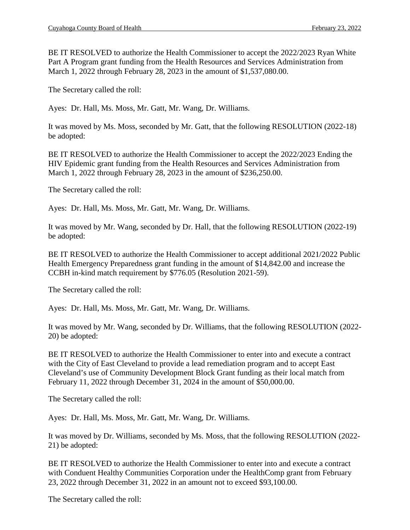BE IT RESOLVED to authorize the Health Commissioner to accept the 2022/2023 Ryan White Part A Program grant funding from the Health Resources and Services Administration from March 1, 2022 through February 28, 2023 in the amount of \$1,537,080.00.

The Secretary called the roll:

Ayes: Dr. Hall, Ms. Moss, Mr. Gatt, Mr. Wang, Dr. Williams.

It was moved by Ms. Moss, seconded by Mr. Gatt, that the following RESOLUTION (2022-18) be adopted:

BE IT RESOLVED to authorize the Health Commissioner to accept the 2022/2023 Ending the HIV Epidemic grant funding from the Health Resources and Services Administration from March 1, 2022 through February 28, 2023 in the amount of \$236,250.00.

The Secretary called the roll:

Ayes: Dr. Hall, Ms. Moss, Mr. Gatt, Mr. Wang, Dr. Williams.

It was moved by Mr. Wang, seconded by Dr. Hall, that the following RESOLUTION (2022-19) be adopted:

BE IT RESOLVED to authorize the Health Commissioner to accept additional 2021/2022 Public Health Emergency Preparedness grant funding in the amount of \$14,842.00 and increase the CCBH in-kind match requirement by \$776.05 (Resolution 2021-59).

The Secretary called the roll:

Ayes: Dr. Hall, Ms. Moss, Mr. Gatt, Mr. Wang, Dr. Williams.

It was moved by Mr. Wang, seconded by Dr. Williams, that the following RESOLUTION (2022- 20) be adopted:

BE IT RESOLVED to authorize the Health Commissioner to enter into and execute a contract with the City of East Cleveland to provide a lead remediation program and to accept East Cleveland's use of Community Development Block Grant funding as their local match from February 11, 2022 through December 31, 2024 in the amount of \$50,000.00.

The Secretary called the roll:

Ayes: Dr. Hall, Ms. Moss, Mr. Gatt, Mr. Wang, Dr. Williams.

It was moved by Dr. Williams, seconded by Ms. Moss, that the following RESOLUTION (2022- 21) be adopted:

BE IT RESOLVED to authorize the Health Commissioner to enter into and execute a contract with Conduent Healthy Communities Corporation under the HealthComp grant from February 23, 2022 through December 31, 2022 in an amount not to exceed \$93,100.00.

The Secretary called the roll: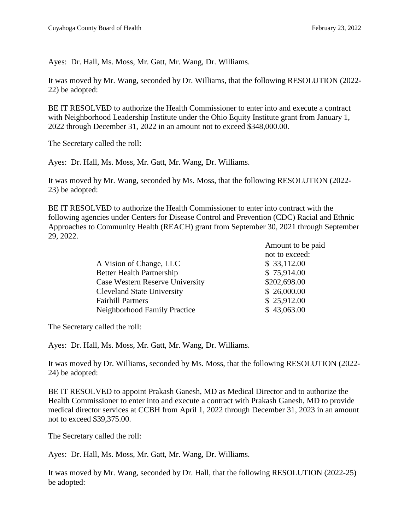Ayes: Dr. Hall, Ms. Moss, Mr. Gatt, Mr. Wang, Dr. Williams.

It was moved by Mr. Wang, seconded by Dr. Williams, that the following RESOLUTION (2022- 22) be adopted:

BE IT RESOLVED to authorize the Health Commissioner to enter into and execute a contract with Neighborhood Leadership Institute under the Ohio Equity Institute grant from January 1, 2022 through December 31, 2022 in an amount not to exceed \$348,000.00.

The Secretary called the roll:

Ayes: Dr. Hall, Ms. Moss, Mr. Gatt, Mr. Wang, Dr. Williams.

It was moved by Mr. Wang, seconded by Ms. Moss, that the following RESOLUTION (2022- 23) be adopted:

BE IT RESOLVED to authorize the Health Commissioner to enter into contract with the following agencies under Centers for Disease Control and Prevention (CDC) Racial and Ethnic Approaches to Community Health (REACH) grant from September 30, 2021 through September 29, 2022.

|                                   | Amount to be paid |
|-----------------------------------|-------------------|
|                                   | not to exceed:    |
| A Vision of Change, LLC           | \$33,112.00       |
| <b>Better Health Partnership</b>  | \$75,914.00       |
| Case Western Reserve University   | \$202,698.00      |
| <b>Cleveland State University</b> | \$26,000.00       |
| <b>Fairhill Partners</b>          | \$25,912.00       |
| Neighborhood Family Practice      | \$43,063.00       |

The Secretary called the roll:

Ayes: Dr. Hall, Ms. Moss, Mr. Gatt, Mr. Wang, Dr. Williams.

It was moved by Dr. Williams, seconded by Ms. Moss, that the following RESOLUTION (2022- 24) be adopted:

BE IT RESOLVED to appoint Prakash Ganesh, MD as Medical Director and to authorize the Health Commissioner to enter into and execute a contract with Prakash Ganesh, MD to provide medical director services at CCBH from April 1, 2022 through December 31, 2023 in an amount not to exceed \$39,375.00.

The Secretary called the roll:

Ayes: Dr. Hall, Ms. Moss, Mr. Gatt, Mr. Wang, Dr. Williams.

It was moved by Mr. Wang, seconded by Dr. Hall, that the following RESOLUTION (2022-25) be adopted: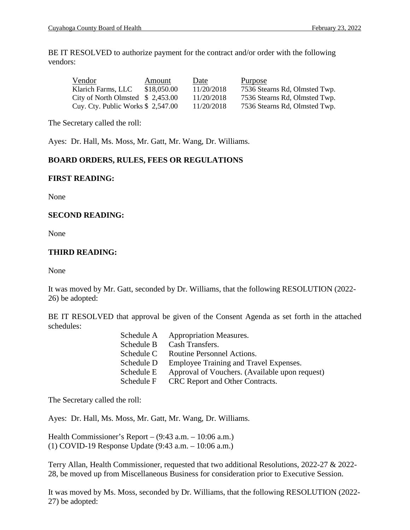BE IT RESOLVED to authorize payment for the contract and/or order with the following vendors:

| Vendor                             | Amount      | Date       | Purpose                       |
|------------------------------------|-------------|------------|-------------------------------|
| Klarich Farms, LLC                 | \$18,050.00 | 11/20/2018 | 7536 Stearns Rd, Olmsted Twp. |
| City of North Olmsted $$2,453.00$  |             | 11/20/2018 | 7536 Stearns Rd, Olmsted Twp. |
| Cuy. Cty. Public Works $$2,547.00$ |             | 11/20/2018 | 7536 Stearns Rd, Olmsted Twp. |

The Secretary called the roll:

Ayes: Dr. Hall, Ms. Moss, Mr. Gatt, Mr. Wang, Dr. Williams.

## **BOARD ORDERS, RULES, FEES OR REGULATIONS**

## **FIRST READING:**

None

## **SECOND READING:**

None

## **THIRD READING:**

None

It was moved by Mr. Gatt, seconded by Dr. Williams, that the following RESOLUTION (2022- 26) be adopted:

BE IT RESOLVED that approval be given of the Consent Agenda as set forth in the attached schedules:

| Schedule A | <b>Appropriation Measures.</b>                 |
|------------|------------------------------------------------|
| Schedule B | Cash Transfers.                                |
| Schedule C | Routine Personnel Actions.                     |
| Schedule D | Employee Training and Travel Expenses.         |
| Schedule E | Approval of Vouchers. (Available upon request) |
| Schedule F | CRC Report and Other Contracts.                |

The Secretary called the roll:

Ayes: Dr. Hall, Ms. Moss, Mr. Gatt, Mr. Wang, Dr. Williams.

Health Commissioner's Report – (9:43 a.m. – 10:06 a.m.) (1) COVID-19 Response Update (9:43 a.m. – 10:06 a.m.)

Terry Allan, Health Commissioner, requested that two additional Resolutions, 2022-27 & 2022- 28, be moved up from Miscellaneous Business for consideration prior to Executive Session.

It was moved by Ms. Moss, seconded by Dr. Williams, that the following RESOLUTION (2022- 27) be adopted: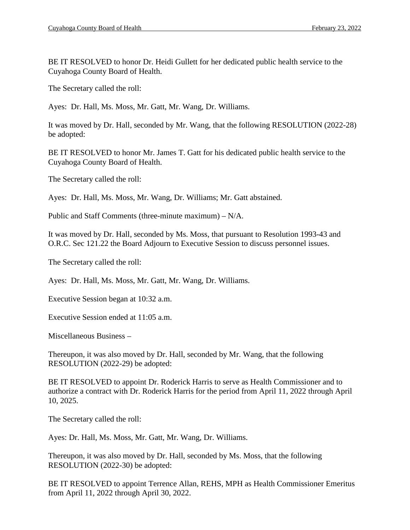BE IT RESOLVED to honor Dr. Heidi Gullett for her dedicated public health service to the Cuyahoga County Board of Health.

The Secretary called the roll:

Ayes: Dr. Hall, Ms. Moss, Mr. Gatt, Mr. Wang, Dr. Williams.

It was moved by Dr. Hall, seconded by Mr. Wang, that the following RESOLUTION (2022-28) be adopted:

BE IT RESOLVED to honor Mr. James T. Gatt for his dedicated public health service to the Cuyahoga County Board of Health.

The Secretary called the roll:

Ayes: Dr. Hall, Ms. Moss, Mr. Wang, Dr. Williams; Mr. Gatt abstained.

Public and Staff Comments (three-minute maximum) – N/A.

It was moved by Dr. Hall, seconded by Ms. Moss, that pursuant to Resolution 1993-43 and O.R.C. Sec 121.22 the Board Adjourn to Executive Session to discuss personnel issues.

The Secretary called the roll:

Ayes: Dr. Hall, Ms. Moss, Mr. Gatt, Mr. Wang, Dr. Williams.

Executive Session began at 10:32 a.m.

Executive Session ended at 11:05 a.m.

Miscellaneous Business –

Thereupon, it was also moved by Dr. Hall, seconded by Mr. Wang, that the following RESOLUTION (2022-29) be adopted:

BE IT RESOLVED to appoint Dr. Roderick Harris to serve as Health Commissioner and to authorize a contract with Dr. Roderick Harris for the period from April 11, 2022 through April 10, 2025.

The Secretary called the roll:

Ayes: Dr. Hall, Ms. Moss, Mr. Gatt, Mr. Wang, Dr. Williams.

Thereupon, it was also moved by Dr. Hall, seconded by Ms. Moss, that the following RESOLUTION (2022-30) be adopted:

BE IT RESOLVED to appoint Terrence Allan, REHS, MPH as Health Commissioner Emeritus from April 11, 2022 through April 30, 2022.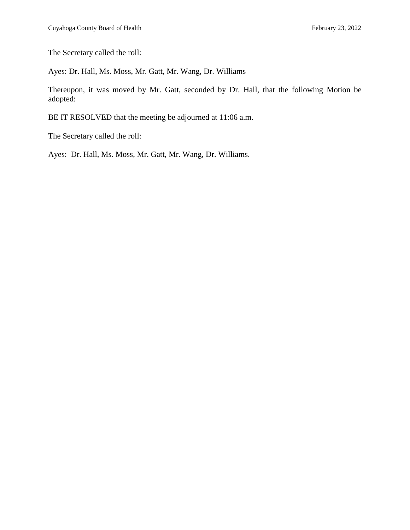The Secretary called the roll:

Ayes: Dr. Hall, Ms. Moss, Mr. Gatt, Mr. Wang, Dr. Williams

Thereupon, it was moved by Mr. Gatt, seconded by Dr. Hall, that the following Motion be adopted:

BE IT RESOLVED that the meeting be adjourned at 11:06 a.m.

The Secretary called the roll:

Ayes: Dr. Hall, Ms. Moss, Mr. Gatt, Mr. Wang, Dr. Williams.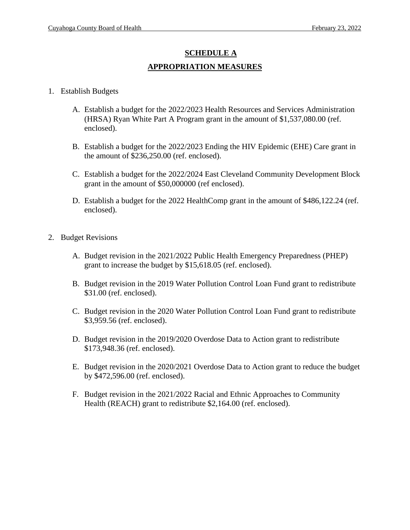# **SCHEDULE A APPROPRIATION MEASURES**

## 1. Establish Budgets

- A. Establish a budget for the 2022/2023 Health Resources and Services Administration (HRSA) Ryan White Part A Program grant in the amount of \$1,537,080.00 (ref. enclosed).
- B. Establish a budget for the 2022/2023 Ending the HIV Epidemic (EHE) Care grant in the amount of \$236,250.00 (ref. enclosed).
- C. Establish a budget for the 2022/2024 East Cleveland Community Development Block grant in the amount of \$50,000000 (ref enclosed).
- D. Establish a budget for the 2022 HealthComp grant in the amount of \$486,122.24 (ref. enclosed).
- 2. Budget Revisions
	- A. Budget revision in the 2021/2022 Public Health Emergency Preparedness (PHEP) grant to increase the budget by \$15,618.05 (ref. enclosed).
	- B. Budget revision in the 2019 Water Pollution Control Loan Fund grant to redistribute \$31.00 (ref. enclosed).
	- C. Budget revision in the 2020 Water Pollution Control Loan Fund grant to redistribute \$3,959.56 (ref. enclosed).
	- D. Budget revision in the 2019/2020 Overdose Data to Action grant to redistribute \$173,948.36 (ref. enclosed).
	- E. Budget revision in the 2020/2021 Overdose Data to Action grant to reduce the budget by \$472,596.00 (ref. enclosed).
	- F. Budget revision in the 2021/2022 Racial and Ethnic Approaches to Community Health (REACH) grant to redistribute \$2,164.00 (ref. enclosed).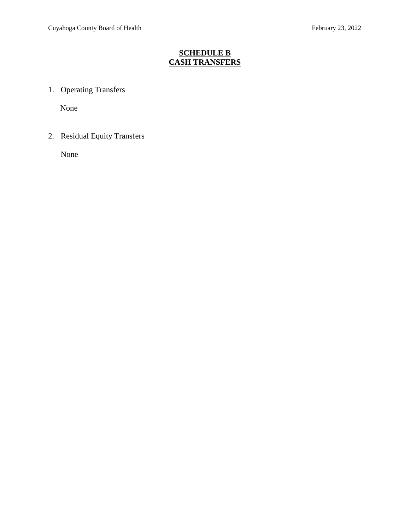## **SCHEDULE B CASH TRANSFERS**

1. Operating Transfers

None

2. Residual Equity Transfers

None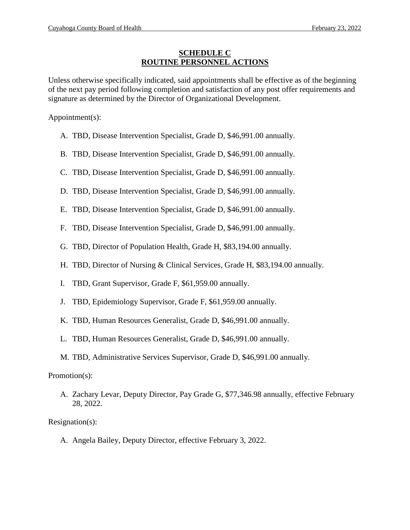## **SCHEDULE C ROUTINE PERSONNEL ACTIONS**

Unless otherwise specifically indicated, said appointments shall be effective as of the beginning of the next pay period following completion and satisfaction of any post offer requirements and signature as determined by the Director of Organizational Development.

Appointment(s):

- A. TBD, Disease Intervention Specialist, Grade D, \$46,991.00 annually.
- B. TBD, Disease Intervention Specialist, Grade D, \$46,991.00 annually.
- C. TBD, Disease Intervention Specialist, Grade D, \$46,991.00 annually.
- D. TBD, Disease Intervention Specialist, Grade D, \$46,991.00 annually.
- E. TBD, Disease Intervention Specialist, Grade D, \$46,991.00 annually.
- F. TBD, Disease Intervention Specialist, Grade D, \$46,991.00 annually.
- G. TBD, Director of Population Health, Grade H, \$83,194.00 annually.
- H. TBD, Director of Nursing & Clinical Services, Grade H, \$83,194.00 annually.
- I. TBD, Grant Supervisor, Grade F, \$61,959.00 annually.
- J. TBD, Epidemiology Supervisor, Grade F, \$61,959.00 annually.
- K. TBD, Human Resources Generalist, Grade D, \$46,991.00 annually.
- L. TBD, Human Resources Generalist, Grade D, \$46,991.00 annually.
- M. TBD, Administrative Services Supervisor, Grade D, \$46,991.00 annually.

Promotion(s):

A. Zachary Levar, Deputy Director, Pay Grade G, \$77,346.98 annually, effective February 28, 2022.

Resignation(s):

A. Angela Bailey, Deputy Director, effective February 3, 2022.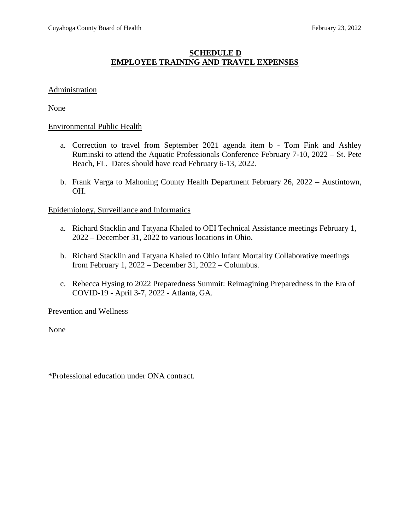## **SCHEDULE D EMPLOYEE TRAINING AND TRAVEL EXPENSES**

## **Administration**

None

### Environmental Public Health

- a. Correction to travel from September 2021 agenda item b Tom Fink and Ashley Ruminski to attend the Aquatic Professionals Conference February 7-10, 2022 – St. Pete Beach, FL. Dates should have read February 6-13, 2022.
- b. Frank Varga to Mahoning County Health Department February 26, 2022 Austintown, OH.

### Epidemiology, Surveillance and Informatics

- a. Richard Stacklin and Tatyana Khaled to OEI Technical Assistance meetings February 1, 2022 – December 31, 2022 to various locations in Ohio.
- b. Richard Stacklin and Tatyana Khaled to Ohio Infant Mortality Collaborative meetings from February 1, 2022 – December 31, 2022 – Columbus.
- c. Rebecca Hysing to 2022 Preparedness Summit: Reimagining Preparedness in the Era of COVID-19 - April 3-7, 2022 - Atlanta, GA.

#### Prevention and Wellness

None

\*Professional education under ONA contract.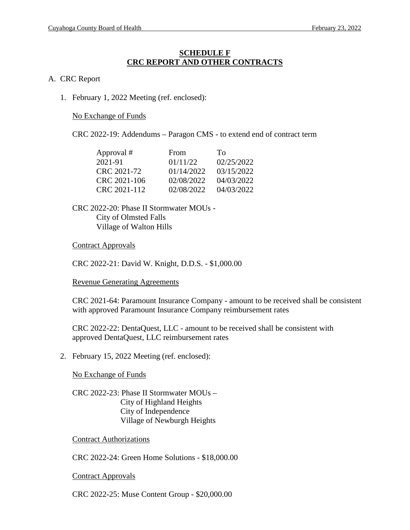### **SCHEDULE F CRC REPORT AND OTHER CONTRACTS**

### A. CRC Report

1. February 1, 2022 Meeting (ref. enclosed):

No Exchange of Funds

CRC 2022-19: Addendums – Paragon CMS - to extend end of contract term

| Approval #   | <b>From</b> | Tο         |
|--------------|-------------|------------|
| 2021-91      | 01/11/22    | 02/25/2022 |
| CRC 2021-72  | 01/14/2022  | 03/15/2022 |
| CRC 2021-106 | 02/08/2022  | 04/03/2022 |
| CRC 2021-112 | 02/08/2022  | 04/03/2022 |

CRC 2022-20: Phase II Stormwater MOUs - City of Olmsted Falls Village of Walton Hills

### Contract Approvals

CRC 2022-21: David W. Knight, D.D.S. - \$1,000.00

Revenue Generating Agreements

CRC 2021-64: Paramount Insurance Company - amount to be received shall be consistent with approved Paramount Insurance Company reimbursement rates

CRC 2022-22: DentaQuest, LLC - amount to be received shall be consistent with approved DentaQuest, LLC reimbursement rates

2. February 15, 2022 Meeting (ref. enclosed):

No Exchange of Funds

CRC 2022-23: Phase II Stormwater MOUs – City of Highland Heights City of Independence Village of Newburgh Heights

Contract Authorizations

CRC 2022-24: Green Home Solutions - \$18,000.00

Contract Approvals

CRC 2022-25: Muse Content Group - \$20,000.00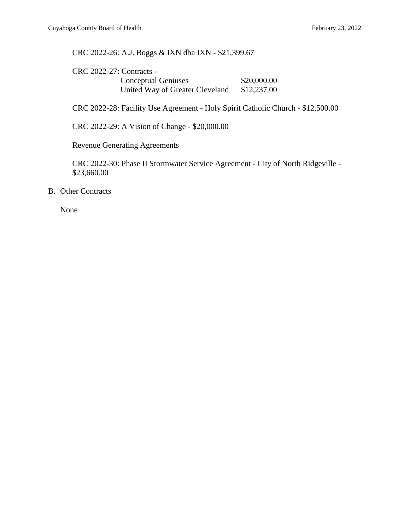CRC 2022-26: A.J. Boggs & IXN dba IXN - \$21,399.67

| <b>CRC 2022-27: Contracts -</b> |             |
|---------------------------------|-------------|
| <b>Conceptual Geniuses</b>      | \$20,000.00 |
| United Way of Greater Cleveland | \$12,237.00 |

CRC 2022-28: Facility Use Agreement - Holy Spirit Catholic Church - \$12,500.00

CRC 2022-29: A Vision of Change - \$20,000.00

Revenue Generating Agreements

CRC 2022-30: Phase II Stormwater Service Agreement - City of North Ridgeville - \$23,660.00

B. Other Contracts

None